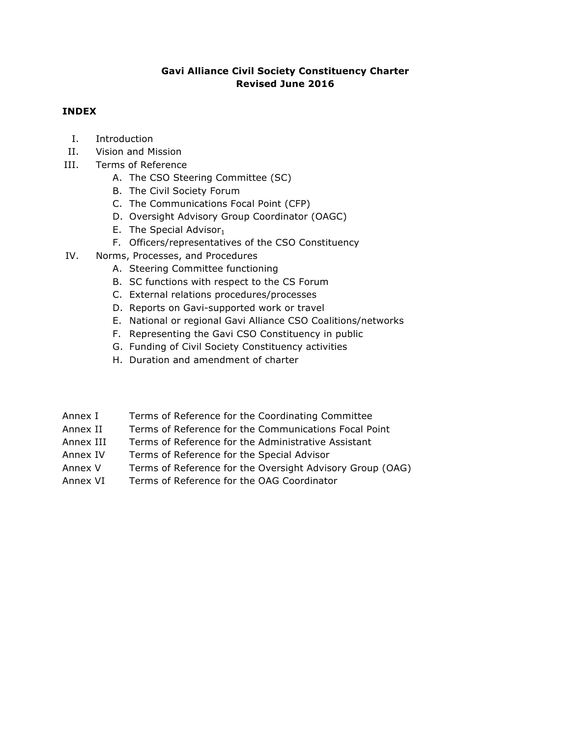## **Gavi Alliance Civil Society Constituency Charter Revised June 2016**

## **INDEX**

- I. Introduction
- II. Vision and Mission
- III. Terms of Reference
	- A. The CSO Steering Committee (SC)
	- B. The Civil Society Forum
	- C. The Communications Focal Point (CFP)
	- D. Oversight Advisory Group Coordinator (OAGC)
	- E. The Special Advisor $_1$
	- F. Officers/representatives of the CSO Constituency
- IV. Norms, Processes, and Procedures
	- A. Steering Committee functioning
	- B. SC functions with respect to the CS Forum
	- C. External relations procedures/processes
	- D. Reports on Gavi-supported work or travel
	- E. National or regional Gavi Alliance CSO Coalitions/networks
	- F. Representing the Gavi CSO Constituency in public
	- G. Funding of Civil Society Constituency activities
	- H. Duration and amendment of charter

| Terms of Reference for the Coordinating Committee<br>Annex I |  |
|--------------------------------------------------------------|--|
|--------------------------------------------------------------|--|

- Annex II Terms of Reference for the Communications Focal Point
- Annex III Terms of Reference for the Administrative Assistant
- Annex IV Terms of Reference for the Special Advisor
- Annex V Terms of Reference for the Oversight Advisory Group (OAG)
- Annex VI Terms of Reference for the OAG Coordinator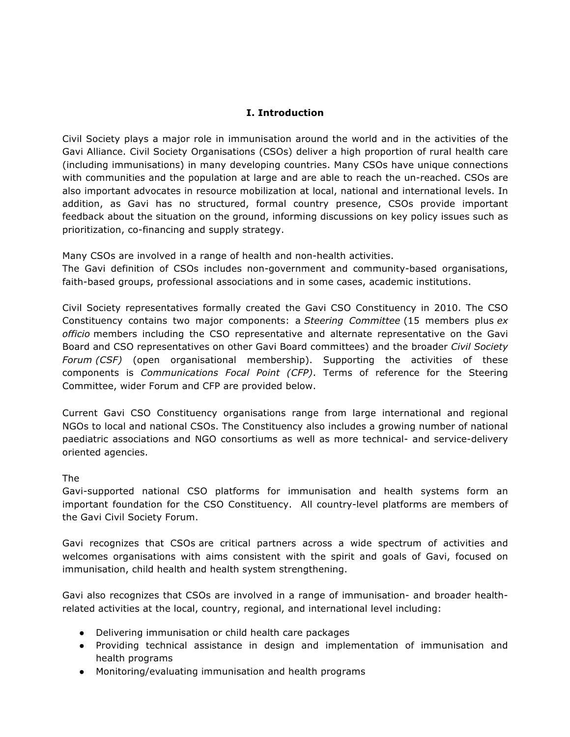## **I. Introduction**

Civil Society plays a major role in immunisation around the world and in the activities of the Gavi Alliance. Civil Society Organisations (CSOs) deliver a high proportion of rural health care (including immunisations) in many developing countries. Many CSOs have unique connections with communities and the population at large and are able to reach the un-reached. CSOs are also important advocates in resource mobilization at local, national and international levels. In addition, as Gavi has no structured, formal country presence, CSOs provide important feedback about the situation on the ground, informing discussions on key policy issues such as prioritization, co-financing and supply strategy.

Many CSOs are involved in a range of health and non-health activities.

The Gavi definition of CSOs includes non-government and community-based organisations, faith-based groups, professional associations and in some cases, academic institutions.

Civil Society representatives formally created the Gavi CSO Constituency in 2010. The CSO Constituency contains two major components: a *Steering Committee* (15 members plus *ex officio* members including the CSO representative and alternate representative on the Gavi Board and CSO representatives on other Gavi Board committees) and the broader *Civil Society Forum (CSF)* (open organisational membership). Supporting the activities of these components is *Communications Focal Point (CFP)*. Terms of reference for the Steering Committee, wider Forum and CFP are provided below.

Current Gavi CSO Constituency organisations range from large international and regional NGOs to local and national CSOs. The Constituency also includes a growing number of national paediatric associations and NGO consortiums as well as more technical- and service-delivery oriented agencies.

#### The

Gavi-supported national CSO platforms for immunisation and health systems form an important foundation for the CSO Constituency. All country-level platforms are members of the Gavi Civil Society Forum.

Gavi recognizes that CSOs are critical partners across a wide spectrum of activities and welcomes organisations with aims consistent with the spirit and goals of Gavi, focused on immunisation, child health and health system strengthening.

Gavi also recognizes that CSOs are involved in a range of immunisation- and broader healthrelated activities at the local, country, regional, and international level including:

- Delivering immunisation or child health care packages
- Providing technical assistance in design and implementation of immunisation and health programs
- Monitoring/evaluating immunisation and health programs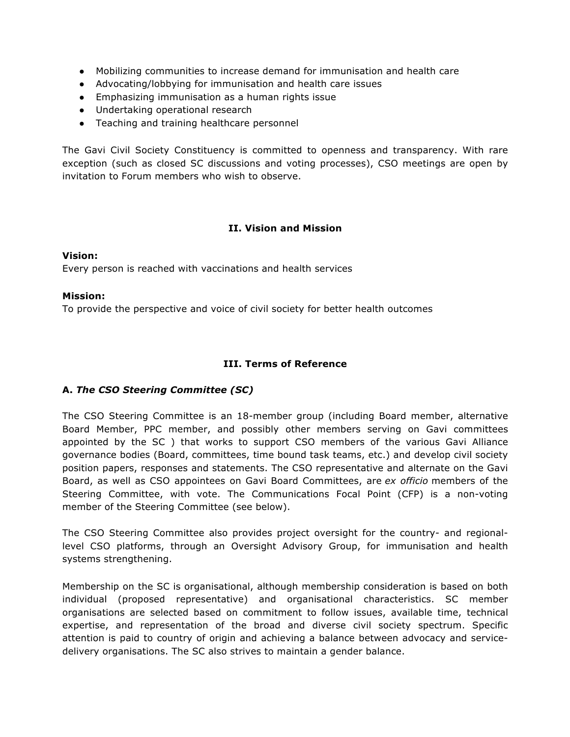- Mobilizing communities to increase demand for immunisation and health care
- Advocating/lobbying for immunisation and health care issues
- Emphasizing immunisation as a human rights issue
- Undertaking operational research
- Teaching and training healthcare personnel

The Gavi Civil Society Constituency is committed to openness and transparency. With rare exception (such as closed SC discussions and voting processes), CSO meetings are open by invitation to Forum members who wish to observe.

### **II. Vision and Mission**

#### **Vision:**

Every person is reached with vaccinations and health services

#### **Mission:**

To provide the perspective and voice of civil society for better health outcomes

### **III. Terms of Reference**

#### **A.** *The CSO Steering Committee (SC)*

The CSO Steering Committee is an 18-member group (including Board member, alternative Board Member, PPC member, and possibly other members serving on Gavi committees appointed by the SC ) that works to support CSO members of the various Gavi Alliance governance bodies (Board, committees, time bound task teams, etc.) and develop civil society position papers, responses and statements. The CSO representative and alternate on the Gavi Board, as well as CSO appointees on Gavi Board Committees, are *ex officio* members of the Steering Committee, with vote. The Communications Focal Point (CFP) is a non-voting member of the Steering Committee (see below).

The CSO Steering Committee also provides project oversight for the country- and regionallevel CSO platforms, through an Oversight Advisory Group, for immunisation and health systems strengthening.

Membership on the SC is organisational, although membership consideration is based on both individual (proposed representative) and organisational characteristics. SC member organisations are selected based on commitment to follow issues, available time, technical expertise, and representation of the broad and diverse civil society spectrum. Specific attention is paid to country of origin and achieving a balance between advocacy and servicedelivery organisations. The SC also strives to maintain a gender balance.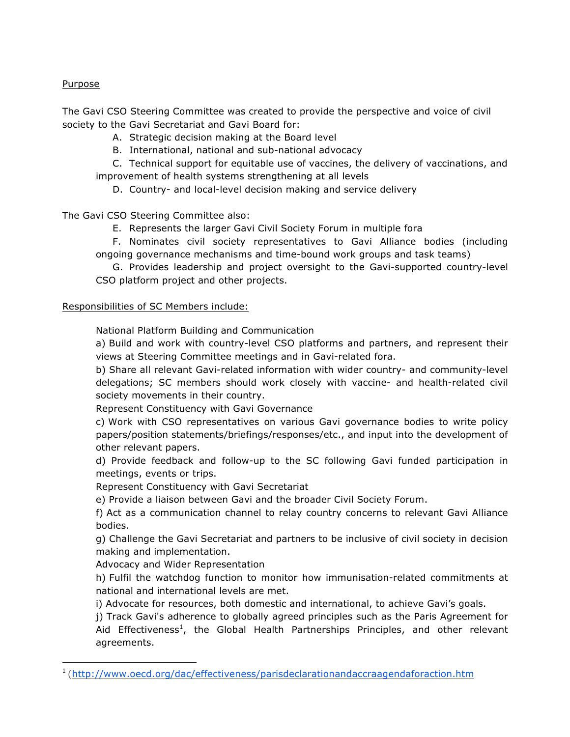## **Purpose**

The Gavi CSO Steering Committee was created to provide the perspective and voice of civil society to the Gavi Secretariat and Gavi Board for:

- A. Strategic decision making at the Board level
- B. International, national and sub-national advocacy
- C. Technical support for equitable use of vaccines, the delivery of vaccinations, and improvement of health systems strengthening at all levels
	- D. Country- and local-level decision making and service delivery

The Gavi CSO Steering Committee also:

- E. Represents the larger Gavi Civil Society Forum in multiple fora
- F. Nominates civil society representatives to Gavi Alliance bodies (including ongoing governance mechanisms and time-bound work groups and task teams)
- G. Provides leadership and project oversight to the Gavi-supported country-level CSO platform project and other projects.

## Responsibilities of SC Members include:

National Platform Building and Communication

a) Build and work with country-level CSO platforms and partners, and represent their views at Steering Committee meetings and in Gavi-related fora.

b) Share all relevant Gavi-related information with wider country- and community-level delegations; SC members should work closely with vaccine- and health-related civil society movements in their country.

Represent Constituency with Gavi Governance

c) Work with CSO representatives on various Gavi governance bodies to write policy papers/position statements/briefings/responses/etc., and input into the development of other relevant papers.

d) Provide feedback and follow-up to the SC following Gavi funded participation in meetings, events or trips.

Represent Constituency with Gavi Secretariat

e) Provide a liaison between Gavi and the broader Civil Society Forum.

f) Act as a communication channel to relay country concerns to relevant Gavi Alliance bodies.

g) Challenge the Gavi Secretariat and partners to be inclusive of civil society in decision making and implementation.

Advocacy and Wider Representation

<u> 1989 - Johann Barn, mars ann an t-Amhain an t-Amhain an t-Amhain an t-Amhain an t-Amhain an t-Amhain an t-Amh</u>

h) Fulfil the watchdog function to monitor how immunisation-related commitments at national and international levels are met.

i) Advocate for resources, both domestic and international, to achieve Gavi's goals.

j) Track Gavi's adherence to globally agreed principles such as the Paris Agreement for Aid Effectiveness<sup>1</sup>, the Global Health Partnerships Principles, and other relevant agreements.

<sup>1</sup> (http://www.oecd.org/dac/effectiveness/parisdeclarationandaccraagendaforaction.htm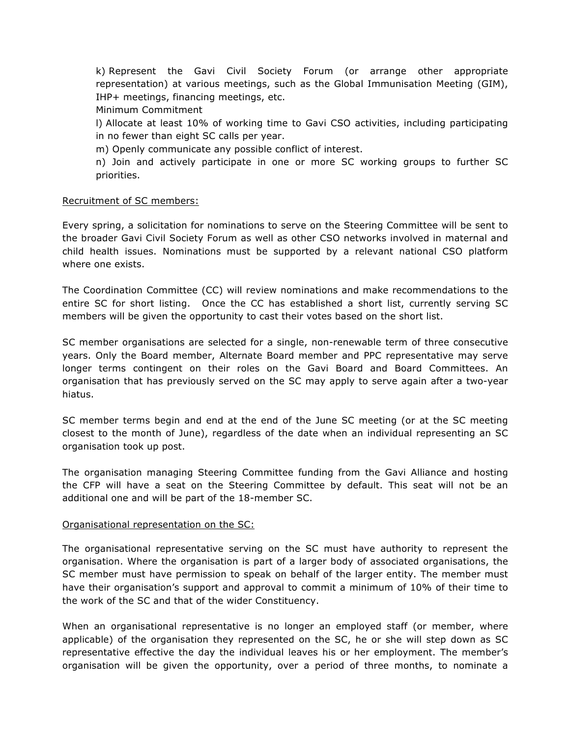k) Represent the Gavi Civil Society Forum (or arrange other appropriate representation) at various meetings, such as the Global Immunisation Meeting (GIM), IHP+ meetings, financing meetings, etc.

Minimum Commitment

l) Allocate at least 10% of working time to Gavi CSO activities, including participating in no fewer than eight SC calls per year.

m) Openly communicate any possible conflict of interest.

n) Join and actively participate in one or more SC working groups to further SC priorities.

#### Recruitment of SC members:

Every spring, a solicitation for nominations to serve on the Steering Committee will be sent to the broader Gavi Civil Society Forum as well as other CSO networks involved in maternal and child health issues. Nominations must be supported by a relevant national CSO platform where one exists.

The Coordination Committee (CC) will review nominations and make recommendations to the entire SC for short listing. Once the CC has established a short list, currently serving SC members will be given the opportunity to cast their votes based on the short list.

SC member organisations are selected for a single, non-renewable term of three consecutive years. Only the Board member, Alternate Board member and PPC representative may serve longer terms contingent on their roles on the Gavi Board and Board Committees. An organisation that has previously served on the SC may apply to serve again after a two-year hiatus.

SC member terms begin and end at the end of the June SC meeting (or at the SC meeting closest to the month of June), regardless of the date when an individual representing an SC organisation took up post.

The organisation managing Steering Committee funding from the Gavi Alliance and hosting the CFP will have a seat on the Steering Committee by default. This seat will not be an additional one and will be part of the 18-member SC.

#### Organisational representation on the SC:

The organisational representative serving on the SC must have authority to represent the organisation. Where the organisation is part of a larger body of associated organisations, the SC member must have permission to speak on behalf of the larger entity. The member must have their organisation's support and approval to commit a minimum of 10% of their time to the work of the SC and that of the wider Constituency.

When an organisational representative is no longer an employed staff (or member, where applicable) of the organisation they represented on the SC, he or she will step down as SC representative effective the day the individual leaves his or her employment. The member's organisation will be given the opportunity, over a period of three months, to nominate a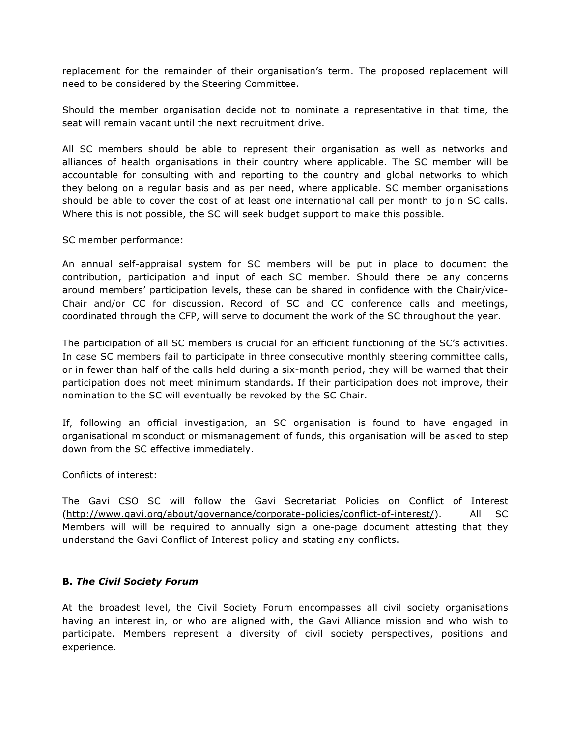replacement for the remainder of their organisation's term. The proposed replacement will need to be considered by the Steering Committee.

Should the member organisation decide not to nominate a representative in that time, the seat will remain vacant until the next recruitment drive.

All SC members should be able to represent their organisation as well as networks and alliances of health organisations in their country where applicable. The SC member will be accountable for consulting with and reporting to the country and global networks to which they belong on a regular basis and as per need, where applicable. SC member organisations should be able to cover the cost of at least one international call per month to join SC calls. Where this is not possible, the SC will seek budget support to make this possible.

#### SC member performance:

An annual self-appraisal system for SC members will be put in place to document the contribution, participation and input of each SC member. Should there be any concerns around members' participation levels, these can be shared in confidence with the Chair/vice-Chair and/or CC for discussion. Record of SC and CC conference calls and meetings, coordinated through the CFP, will serve to document the work of the SC throughout the year.

The participation of all SC members is crucial for an efficient functioning of the SC's activities. In case SC members fail to participate in three consecutive monthly steering committee calls, or in fewer than half of the calls held during a six-month period, they will be warned that their participation does not meet minimum standards. If their participation does not improve, their nomination to the SC will eventually be revoked by the SC Chair.

If, following an official investigation, an SC organisation is found to have engaged in organisational misconduct or mismanagement of funds, this organisation will be asked to step down from the SC effective immediately.

#### Conflicts of interest:

The Gavi CSO SC will follow the Gavi Secretariat Policies on Conflict of Interest (http://www.gavi.org/about/governance/corporate-policies/conflict-of-interest/). All SC Members will will be required to annually sign a one-page document attesting that they understand the Gavi Conflict of Interest policy and stating any conflicts.

#### **B.** *The Civil Society Forum*

At the broadest level, the Civil Society Forum encompasses all civil society organisations having an interest in, or who are aligned with, the Gavi Alliance mission and who wish to participate. Members represent a diversity of civil society perspectives, positions and experience.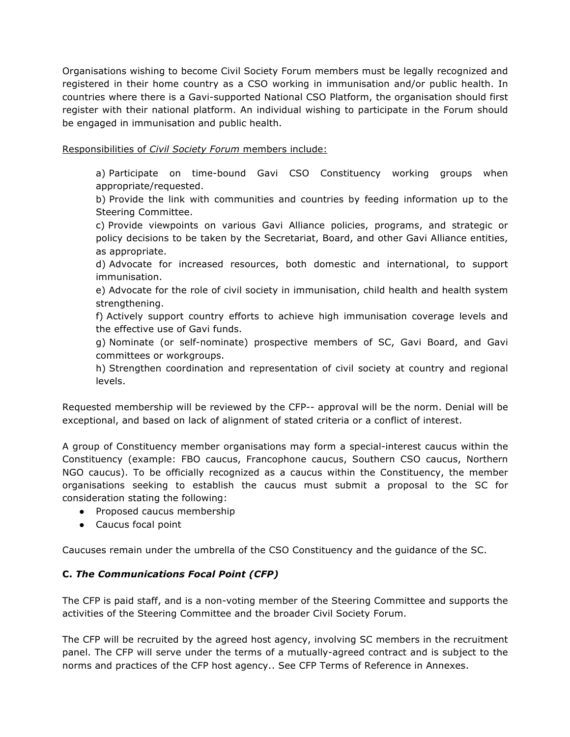Organisations wishing to become Civil Society Forum members must be legally recognized and registered in their home country as a CSO working in immunisation and/or public health. In countries where there is a Gavi-supported National CSO Platform, the organisation should first register with their national platform. An individual wishing to participate in the Forum should be engaged in immunisation and public health.

## Responsibilities of *Civil Society Forum* members include:

a) Participate on time-bound Gavi CSO Constituency working groups when appropriate/requested.

b) Provide the link with communities and countries by feeding information up to the Steering Committee.

c) Provide viewpoints on various Gavi Alliance policies, programs, and strategic or policy decisions to be taken by the Secretariat, Board, and other Gavi Alliance entities, as appropriate.

d) Advocate for increased resources, both domestic and international, to support immunisation.

e) Advocate for the role of civil society in immunisation, child health and health system strengthening.

f) Actively support country efforts to achieve high immunisation coverage levels and the effective use of Gavi funds.

g) Nominate (or self-nominate) prospective members of SC, Gavi Board, and Gavi committees or workgroups.

h) Strengthen coordination and representation of civil society at country and regional levels.

Requested membership will be reviewed by the CFP-- approval will be the norm. Denial will be exceptional, and based on lack of alignment of stated criteria or a conflict of interest.

A group of Constituency member organisations may form a special-interest caucus within the Constituency (example: FBO caucus, Francophone caucus, Southern CSO caucus, Northern NGO caucus). To be officially recognized as a caucus within the Constituency, the member organisations seeking to establish the caucus must submit a proposal to the SC for consideration stating the following:

- Proposed caucus membership
- Caucus focal point

Caucuses remain under the umbrella of the CSO Constituency and the guidance of the SC.

## **C.** *The Communications Focal Point (CFP)*

The CFP is paid staff, and is a non-voting member of the Steering Committee and supports the activities of the Steering Committee and the broader Civil Society Forum.

The CFP will be recruited by the agreed host agency, involving SC members in the recruitment panel. The CFP will serve under the terms of a mutually-agreed contract and is subject to the norms and practices of the CFP host agency.. See CFP Terms of Reference in Annexes.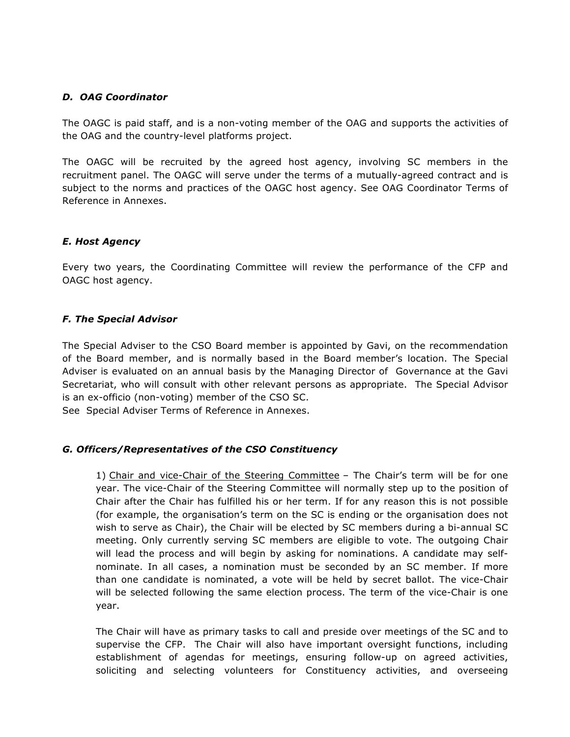## *D. OAG Coordinator*

The OAGC is paid staff, and is a non-voting member of the OAG and supports the activities of the OAG and the country-level platforms project.

The OAGC will be recruited by the agreed host agency, involving SC members in the recruitment panel. The OAGC will serve under the terms of a mutually-agreed contract and is subject to the norms and practices of the OAGC host agency. See OAG Coordinator Terms of Reference in Annexes.

### *E. Host Agency*

Every two years, the Coordinating Committee will review the performance of the CFP and OAGC host agency.

### *F. The Special Advisor*

The Special Adviser to the CSO Board member is appointed by Gavi, on the recommendation of the Board member, and is normally based in the Board member's location. The Special Adviser is evaluated on an annual basis by the Managing Director of Governance at the Gavi Secretariat, who will consult with other relevant persons as appropriate. The Special Advisor is an ex-officio (non-voting) member of the CSO SC.

See Special Adviser Terms of Reference in Annexes.

#### *G. Officers/Representatives of the CSO Constituency*

1) Chair and vice-Chair of the Steering Committee – The Chair's term will be for one year. The vice-Chair of the Steering Committee will normally step up to the position of Chair after the Chair has fulfilled his or her term. If for any reason this is not possible (for example, the organisation's term on the SC is ending or the organisation does not wish to serve as Chair), the Chair will be elected by SC members during a bi-annual SC meeting. Only currently serving SC members are eligible to vote. The outgoing Chair will lead the process and will begin by asking for nominations. A candidate may selfnominate. In all cases, a nomination must be seconded by an SC member. If more than one candidate is nominated, a vote will be held by secret ballot. The vice-Chair will be selected following the same election process. The term of the vice-Chair is one year.

The Chair will have as primary tasks to call and preside over meetings of the SC and to supervise the CFP. The Chair will also have important oversight functions, including establishment of agendas for meetings, ensuring follow-up on agreed activities, soliciting and selecting volunteers for Constituency activities, and overseeing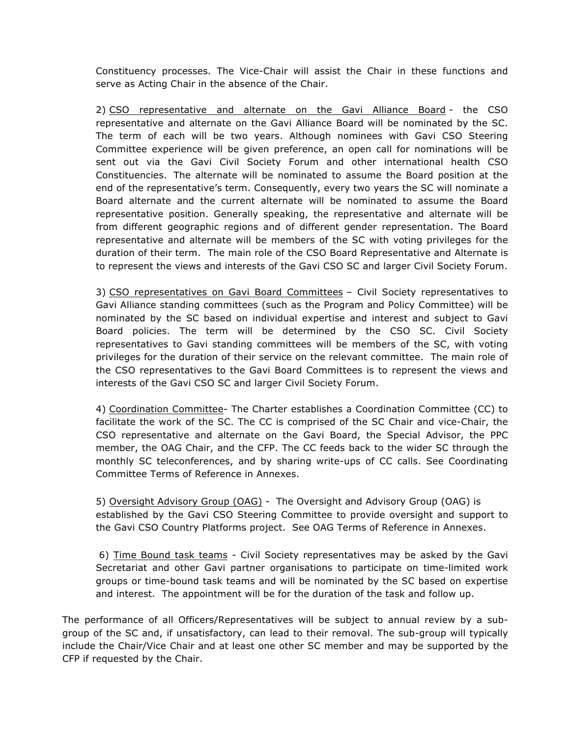Constituency processes. The Vice-Chair will assist the Chair in these functions and serve as Acting Chair in the absence of the Chair.

2) CSO representative and alternate on the Gavi Alliance Board - the CSO representative and alternate on the Gavi Alliance Board will be nominated by the SC. The term of each will be two years. Although nominees with Gavi CSO Steering Committee experience will be given preference, an open call for nominations will be sent out via the Gavi Civil Society Forum and other international health CSO Constituencies. The alternate will be nominated to assume the Board position at the end of the representative's term. Consequently, every two years the SC will nominate a Board alternate and the current alternate will be nominated to assume the Board representative position. Generally speaking, the representative and alternate will be from different geographic regions and of different gender representation. The Board representative and alternate will be members of the SC with voting privileges for the duration of their term. The main role of the CSO Board Representative and Alternate is to represent the views and interests of the Gavi CSO SC and larger Civil Society Forum.

3) CSO representatives on Gavi Board Committees – Civil Society representatives to Gavi Alliance standing committees (such as the Program and Policy Committee) will be nominated by the SC based on individual expertise and interest and subject to Gavi Board policies. The term will be determined by the CSO SC. Civil Society representatives to Gavi standing committees will be members of the SC, with voting privileges for the duration of their service on the relevant committee. The main role of the CSO representatives to the Gavi Board Committees is to represent the views and interests of the Gavi CSO SC and larger Civil Society Forum.

4) Coordination Committee- The Charter establishes a Coordination Committee (CC) to facilitate the work of the SC. The CC is comprised of the SC Chair and vice-Chair, the CSO representative and alternate on the Gavi Board, the Special Advisor, the PPC member, the OAG Chair, and the CFP. The CC feeds back to the wider SC through the monthly SC teleconferences, and by sharing write-ups of CC calls. See Coordinating Committee Terms of Reference in Annexes.

5) Oversight Advisory Group (OAG) - The Oversight and Advisory Group (OAG) is established by the Gavi CSO Steering Committee to provide oversight and support to the Gavi CSO Country Platforms project. See OAG Terms of Reference in Annexes.

6) Time Bound task teams - Civil Society representatives may be asked by the Gavi Secretariat and other Gavi partner organisations to participate on time-limited work groups or time-bound task teams and will be nominated by the SC based on expertise and interest. The appointment will be for the duration of the task and follow up.

The performance of all Officers/Representatives will be subject to annual review by a subgroup of the SC and, if unsatisfactory, can lead to their removal. The sub-group will typically include the Chair/Vice Chair and at least one other SC member and may be supported by the CFP if requested by the Chair.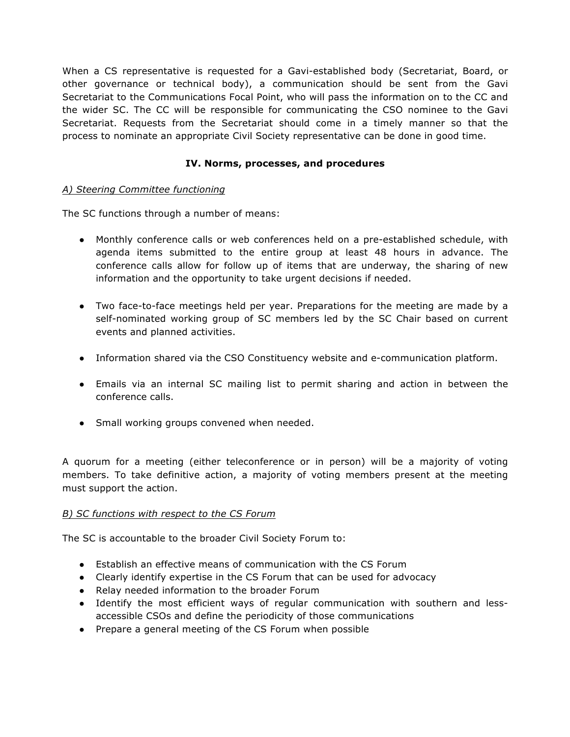When a CS representative is requested for a Gavi-established body (Secretariat, Board, or other governance or technical body), a communication should be sent from the Gavi Secretariat to the Communications Focal Point, who will pass the information on to the CC and the wider SC. The CC will be responsible for communicating the CSO nominee to the Gavi Secretariat. Requests from the Secretariat should come in a timely manner so that the process to nominate an appropriate Civil Society representative can be done in good time.

## **IV. Norms, processes, and procedures**

## *A) Steering Committee functioning*

The SC functions through a number of means:

- Monthly conference calls or web conferences held on a pre-established schedule, with agenda items submitted to the entire group at least 48 hours in advance. The conference calls allow for follow up of items that are underway, the sharing of new information and the opportunity to take urgent decisions if needed.
- Two face-to-face meetings held per year. Preparations for the meeting are made by a self-nominated working group of SC members led by the SC Chair based on current events and planned activities.
- Information shared via the CSO Constituency website and e-communication platform.
- Emails via an internal SC mailing list to permit sharing and action in between the conference calls.
- Small working groups convened when needed.

A quorum for a meeting (either teleconference or in person) will be a majority of voting members. To take definitive action, a majority of voting members present at the meeting must support the action.

#### *B) SC functions with respect to the CS Forum*

The SC is accountable to the broader Civil Society Forum to:

- Establish an effective means of communication with the CS Forum
- Clearly identify expertise in the CS Forum that can be used for advocacy
- Relay needed information to the broader Forum
- Identify the most efficient ways of regular communication with southern and lessaccessible CSOs and define the periodicity of those communications
- Prepare a general meeting of the CS Forum when possible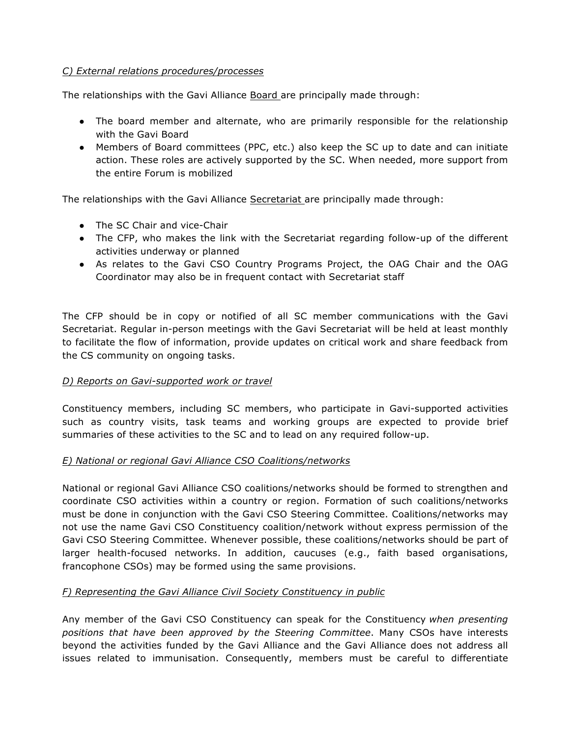## *C) External relations procedures/processes*

The relationships with the Gavi Alliance Board are principally made through:

- The board member and alternate, who are primarily responsible for the relationship with the Gavi Board
- Members of Board committees (PPC, etc.) also keep the SC up to date and can initiate action. These roles are actively supported by the SC. When needed, more support from the entire Forum is mobilized

The relationships with the Gavi Alliance Secretariat are principally made through:

- The SC Chair and vice-Chair
- The CFP, who makes the link with the Secretariat regarding follow-up of the different activities underway or planned
- As relates to the Gavi CSO Country Programs Project, the OAG Chair and the OAG Coordinator may also be in frequent contact with Secretariat staff

The CFP should be in copy or notified of all SC member communications with the Gavi Secretariat. Regular in-person meetings with the Gavi Secretariat will be held at least monthly to facilitate the flow of information, provide updates on critical work and share feedback from the CS community on ongoing tasks.

## *D) Reports on Gavi-supported work or travel*

Constituency members, including SC members, who participate in Gavi-supported activities such as country visits, task teams and working groups are expected to provide brief summaries of these activities to the SC and to lead on any required follow-up.

## *E) National or regional Gavi Alliance CSO Coalitions/networks*

National or regional Gavi Alliance CSO coalitions/networks should be formed to strengthen and coordinate CSO activities within a country or region. Formation of such coalitions/networks must be done in conjunction with the Gavi CSO Steering Committee. Coalitions/networks may not use the name Gavi CSO Constituency coalition/network without express permission of the Gavi CSO Steering Committee. Whenever possible, these coalitions/networks should be part of larger health-focused networks. In addition, caucuses (e.g., faith based organisations, francophone CSOs) may be formed using the same provisions.

## *F) Representing the Gavi Alliance Civil Society Constituency in public*

Any member of the Gavi CSO Constituency can speak for the Constituency *when presenting positions that have been approved by the Steering Committee*. Many CSOs have interests beyond the activities funded by the Gavi Alliance and the Gavi Alliance does not address all issues related to immunisation. Consequently, members must be careful to differentiate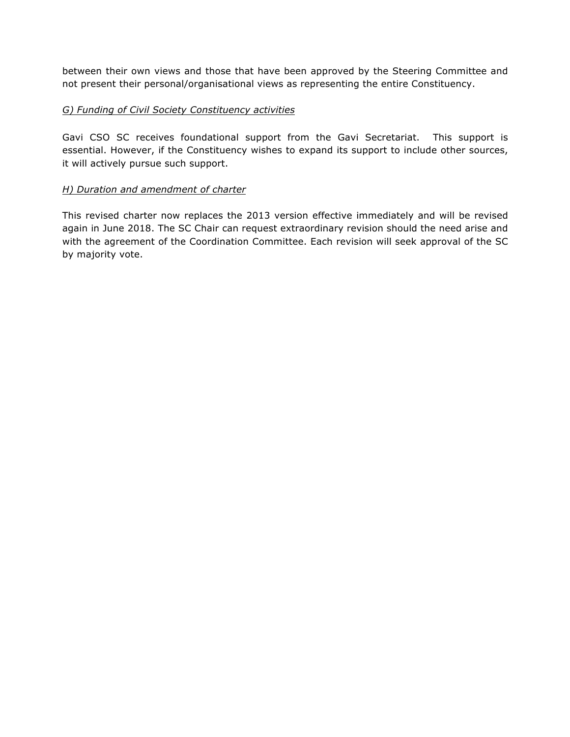between their own views and those that have been approved by the Steering Committee and not present their personal/organisational views as representing the entire Constituency.

## *G) Funding of Civil Society Constituency activities*

Gavi CSO SC receives foundational support from the Gavi Secretariat. This support is essential. However, if the Constituency wishes to expand its support to include other sources, it will actively pursue such support.

### *H) Duration and amendment of charter*

This revised charter now replaces the 2013 version effective immediately and will be revised again in June 2018. The SC Chair can request extraordinary revision should the need arise and with the agreement of the Coordination Committee. Each revision will seek approval of the SC by majority vote.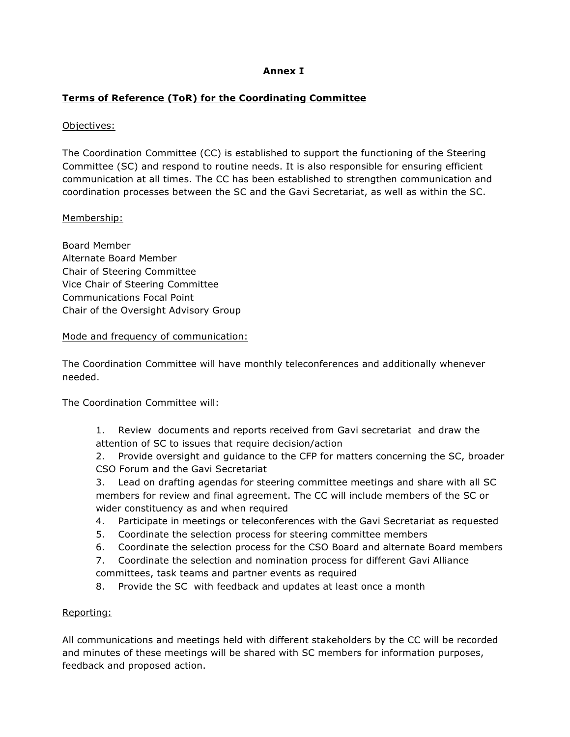## **Annex I**

## **Terms of Reference (ToR) for the Coordinating Committee**

## Objectives:

The Coordination Committee (CC) is established to support the functioning of the Steering Committee (SC) and respond to routine needs. It is also responsible for ensuring efficient communication at all times. The CC has been established to strengthen communication and coordination processes between the SC and the Gavi Secretariat, as well as within the SC.

## Membership:

Board Member Alternate Board Member Chair of Steering Committee Vice Chair of Steering Committee Communications Focal Point Chair of the Oversight Advisory Group

### Mode and frequency of communication:

The Coordination Committee will have monthly teleconferences and additionally whenever needed.

The Coordination Committee will:

- 1. Review documents and reports received from Gavi secretariat and draw the attention of SC to issues that require decision/action
- 2. Provide oversight and guidance to the CFP for matters concerning the SC, broader CSO Forum and the Gavi Secretariat

3. Lead on drafting agendas for steering committee meetings and share with all SC members for review and final agreement. The CC will include members of the SC or wider constituency as and when required

- 4. Participate in meetings or teleconferences with the Gavi Secretariat as requested
- 5. Coordinate the selection process for steering committee members
- 6. Coordinate the selection process for the CSO Board and alternate Board members
- 7. Coordinate the selection and nomination process for different Gavi Alliance committees, task teams and partner events as required
- 8. Provide the SC with feedback and updates at least once a month

## Reporting:

All communications and meetings held with different stakeholders by the CC will be recorded and minutes of these meetings will be shared with SC members for information purposes, feedback and proposed action.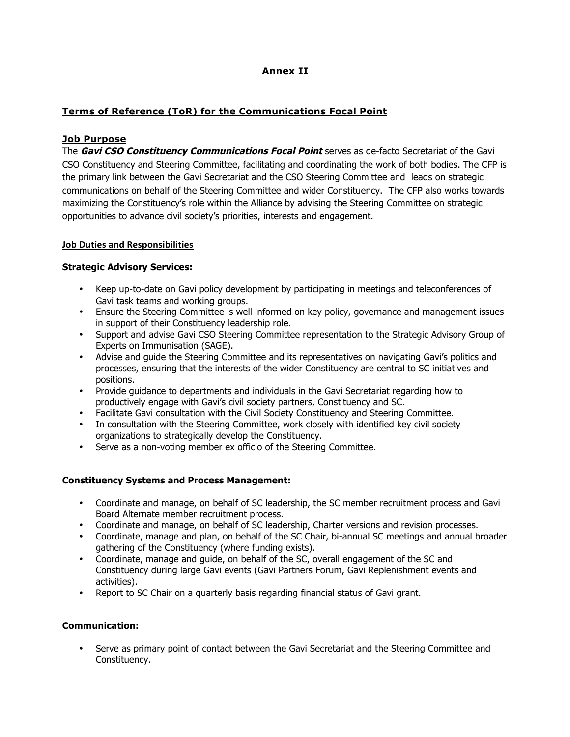## **Annex II**

## **Terms of Reference (ToR) for the Communications Focal Point**

#### **Job Purpose**

The **Gavi CSO Constituency Communications Focal Point** serves as de-facto Secretariat of the Gavi CSO Constituency and Steering Committee, facilitating and coordinating the work of both bodies. The CFP is the primary link between the Gavi Secretariat and the CSO Steering Committee and leads on strategic communications on behalf of the Steering Committee and wider Constituency. The CFP also works towards maximizing the Constituency's role within the Alliance by advising the Steering Committee on strategic opportunities to advance civil society's priorities, interests and engagement.

#### **Job Duties and Responsibilities**

#### **Strategic Advisory Services:**

- Keep up-to-date on Gavi policy development by participating in meetings and teleconferences of Gavi task teams and working groups.
- Ensure the Steering Committee is well informed on key policy, governance and management issues in support of their Constituency leadership role.
- Support and advise Gavi CSO Steering Committee representation to the Strategic Advisory Group of Experts on Immunisation (SAGE).
- Advise and guide the Steering Committee and its representatives on navigating Gavi's politics and processes, ensuring that the interests of the wider Constituency are central to SC initiatives and positions.
- Provide guidance to departments and individuals in the Gavi Secretariat regarding how to productively engage with Gavi's civil society partners, Constituency and SC.
- Facilitate Gavi consultation with the Civil Society Constituency and Steering Committee.
- In consultation with the Steering Committee, work closely with identified key civil society organizations to strategically develop the Constituency.
- Serve as a non-voting member ex officio of the Steering Committee.

#### **Constituency Systems and Process Management:**

- Coordinate and manage, on behalf of SC leadership, the SC member recruitment process and Gavi Board Alternate member recruitment process.
- Coordinate and manage, on behalf of SC leadership, Charter versions and revision processes.
- Coordinate, manage and plan, on behalf of the SC Chair, bi-annual SC meetings and annual broader gathering of the Constituency (where funding exists).
- Coordinate, manage and guide, on behalf of the SC, overall engagement of the SC and Constituency during large Gavi events (Gavi Partners Forum, Gavi Replenishment events and activities).
- Report to SC Chair on a quarterly basis regarding financial status of Gavi grant.

#### **Communication:**

• Serve as primary point of contact between the Gavi Secretariat and the Steering Committee and Constituency.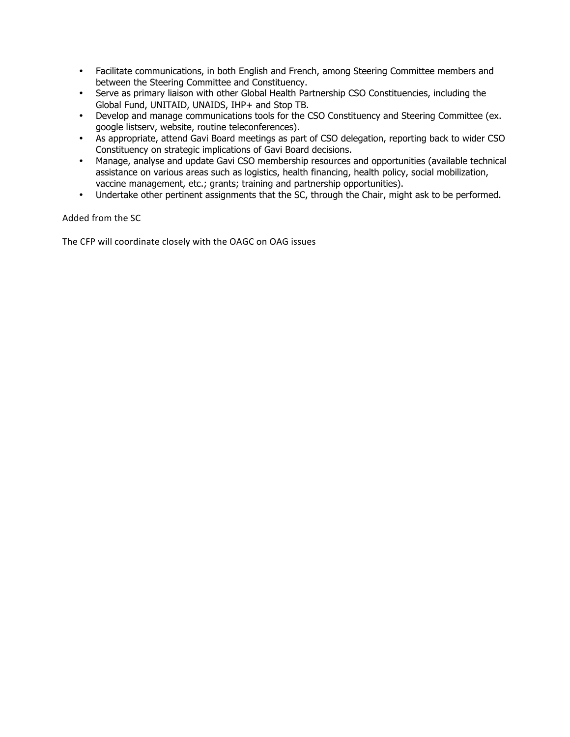- Facilitate communications, in both English and French, among Steering Committee members and between the Steering Committee and Constituency.
- Serve as primary liaison with other Global Health Partnership CSO Constituencies, including the Global Fund, UNITAID, UNAIDS, IHP+ and Stop TB.
- Develop and manage communications tools for the CSO Constituency and Steering Committee (ex. google listserv, website, routine teleconferences).
- As appropriate, attend Gavi Board meetings as part of CSO delegation, reporting back to wider CSO Constituency on strategic implications of Gavi Board decisions.
- Manage, analyse and update Gavi CSO membership resources and opportunities (available technical assistance on various areas such as logistics, health financing, health policy, social mobilization, vaccine management, etc.; grants; training and partnership opportunities).
- Undertake other pertinent assignments that the SC, through the Chair, might ask to be performed.

Added from the SC

The CFP will coordinate closely with the OAGC on OAG issues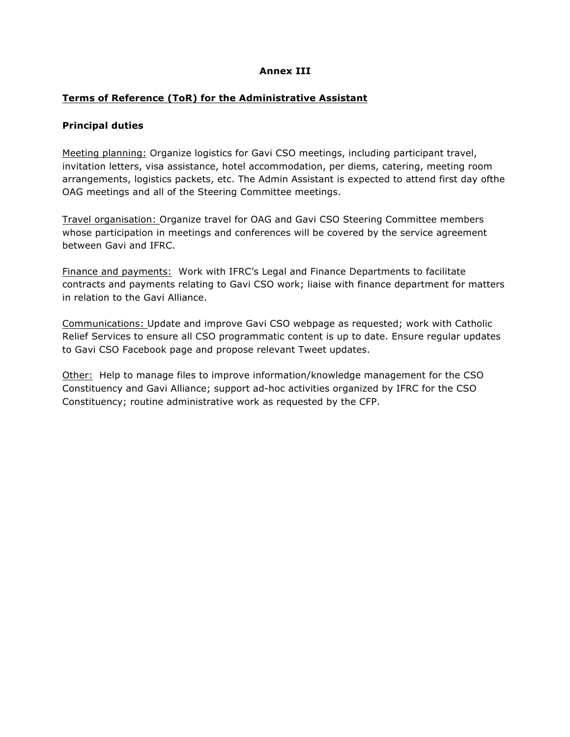## **Annex III**

## **Terms of Reference (ToR) for the Administrative Assistant**

#### **Principal duties**

Meeting planning: Organize logistics for Gavi CSO meetings, including participant travel, invitation letters, visa assistance, hotel accommodation, per diems, catering, meeting room arrangements, logistics packets, etc. The Admin Assistant is expected to attend first day ofthe OAG meetings and all of the Steering Committee meetings.

Travel organisation: Organize travel for OAG and Gavi CSO Steering Committee members whose participation in meetings and conferences will be covered by the service agreement between Gavi and IFRC.

Finance and payments: Work with IFRC's Legal and Finance Departments to facilitate contracts and payments relating to Gavi CSO work; liaise with finance department for matters in relation to the Gavi Alliance.

Communications: Update and improve Gavi CSO webpage as requested; work with Catholic Relief Services to ensure all CSO programmatic content is up to date. Ensure regular updates to Gavi CSO Facebook page and propose relevant Tweet updates.

Other: Help to manage files to improve information/knowledge management for the CSO Constituency and Gavi Alliance; support ad-hoc activities organized by IFRC for the CSO Constituency; routine administrative work as requested by the CFP.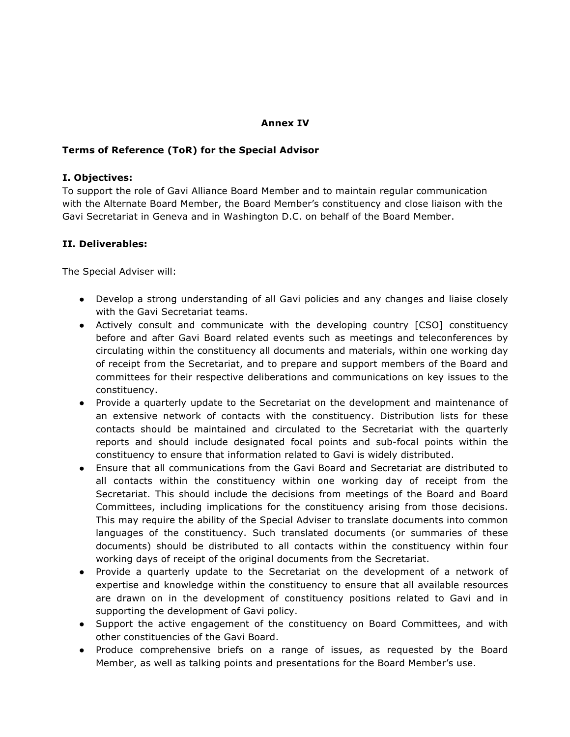## **Annex IV**

### **Terms of Reference (ToR) for the Special Advisor**

#### **I. Objectives:**

To support the role of Gavi Alliance Board Member and to maintain regular communication with the Alternate Board Member, the Board Member's constituency and close liaison with the Gavi Secretariat in Geneva and in Washington D.C. on behalf of the Board Member.

### **II. Deliverables:**

The Special Adviser will:

- Develop a strong understanding of all Gavi policies and any changes and liaise closely with the Gavi Secretariat teams.
- Actively consult and communicate with the developing country [CSO] constituency before and after Gavi Board related events such as meetings and teleconferences by circulating within the constituency all documents and materials, within one working day of receipt from the Secretariat, and to prepare and support members of the Board and committees for their respective deliberations and communications on key issues to the constituency.
- Provide a quarterly update to the Secretariat on the development and maintenance of an extensive network of contacts with the constituency. Distribution lists for these contacts should be maintained and circulated to the Secretariat with the quarterly reports and should include designated focal points and sub-focal points within the constituency to ensure that information related to Gavi is widely distributed.
- Ensure that all communications from the Gavi Board and Secretariat are distributed to all contacts within the constituency within one working day of receipt from the Secretariat. This should include the decisions from meetings of the Board and Board Committees, including implications for the constituency arising from those decisions. This may require the ability of the Special Adviser to translate documents into common languages of the constituency. Such translated documents (or summaries of these documents) should be distributed to all contacts within the constituency within four working days of receipt of the original documents from the Secretariat.
- Provide a quarterly update to the Secretariat on the development of a network of expertise and knowledge within the constituency to ensure that all available resources are drawn on in the development of constituency positions related to Gavi and in supporting the development of Gavi policy.
- Support the active engagement of the constituency on Board Committees, and with other constituencies of the Gavi Board.
- Produce comprehensive briefs on a range of issues, as requested by the Board Member, as well as talking points and presentations for the Board Member's use.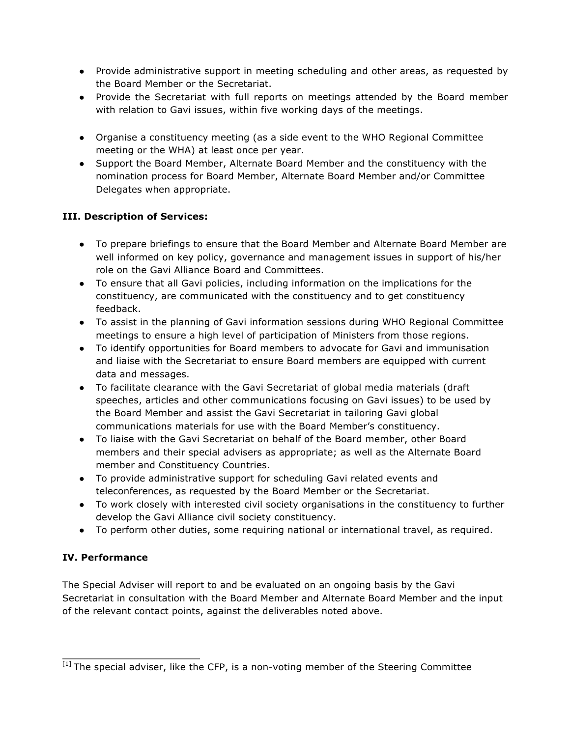- Provide administrative support in meeting scheduling and other areas, as requested by the Board Member or the Secretariat.
- Provide the Secretariat with full reports on meetings attended by the Board member with relation to Gavi issues, within five working days of the meetings.
- Organise a constituency meeting (as a side event to the WHO Regional Committee meeting or the WHA) at least once per year.
- Support the Board Member, Alternate Board Member and the constituency with the nomination process for Board Member, Alternate Board Member and/or Committee Delegates when appropriate.

## **III. Description of Services:**

- To prepare briefings to ensure that the Board Member and Alternate Board Member are well informed on key policy, governance and management issues in support of his/her role on the Gavi Alliance Board and Committees.
- To ensure that all Gavi policies, including information on the implications for the constituency, are communicated with the constituency and to get constituency feedback.
- To assist in the planning of Gavi information sessions during WHO Regional Committee meetings to ensure a high level of participation of Ministers from those regions.
- To identify opportunities for Board members to advocate for Gavi and immunisation and liaise with the Secretariat to ensure Board members are equipped with current data and messages.
- To facilitate clearance with the Gavi Secretariat of global media materials (draft speeches, articles and other communications focusing on Gavi issues) to be used by the Board Member and assist the Gavi Secretariat in tailoring Gavi global communications materials for use with the Board Member's constituency.
- To liaise with the Gavi Secretariat on behalf of the Board member, other Board members and their special advisers as appropriate; as well as the Alternate Board member and Constituency Countries.
- To provide administrative support for scheduling Gavi related events and teleconferences, as requested by the Board Member or the Secretariat.
- To work closely with interested civil society organisations in the constituency to further develop the Gavi Alliance civil society constituency.
- To perform other duties, some requiring national or international travel, as required.

## **IV. Performance**

The Special Adviser will report to and be evaluated on an ongoing basis by the Gavi Secretariat in consultation with the Board Member and Alternate Board Member and the input of the relevant contact points, against the deliverables noted above.

<sup>[1]</sup> The special adviser, like the CFP, is a non-voting member of the Steering Committee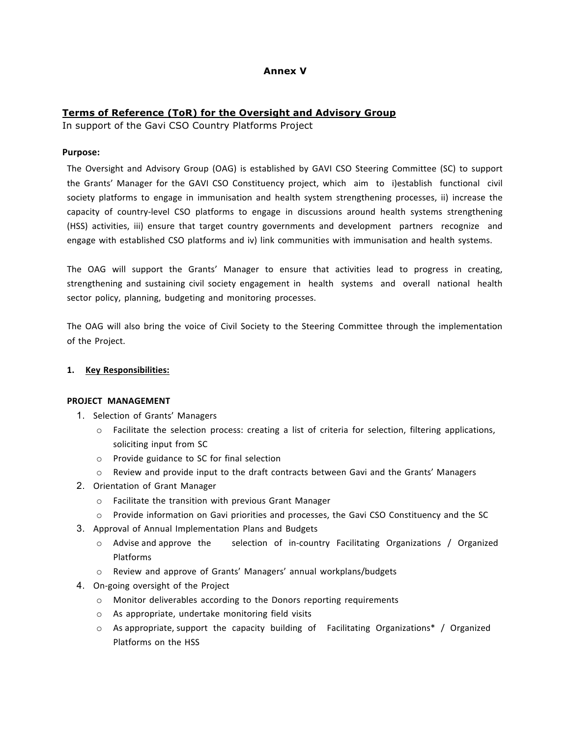## **Annex V**

#### **Terms of Reference (ToR) for the Oversight and Advisory Group**

In support of the Gavi CSO Country Platforms Project

#### **Purpose:**

The Oversight and Advisory Group (OAG) is established by GAVI CSO Steering Committee (SC) to support the Grants' Manager for the GAVI CSO Constituency project, which aim to i)establish functional civil society platforms to engage in immunisation and health system strengthening processes, ii) increase the capacity of country-level CSO platforms to engage in discussions around health systems strengthening (HSS) activities, iii) ensure that target country governments and development partners recognize and engage with established CSO platforms and iv) link communities with immunisation and health systems.

The OAG will support the Grants' Manager to ensure that activities lead to progress in creating, strengthening and sustaining civil society engagement in health systems and overall national health sector policy, planning, budgeting and monitoring processes.

The OAG will also bring the voice of Civil Society to the Steering Committee through the implementation of the Project.

#### **1. Key Responsibilities:**

#### **PROJECT MANAGEMENT**

- 1. Selection of Grants' Managers
	- o Facilitate the selection process: creating a list of criteria for selection, filtering applications, soliciting input from SC
	- o Provide guidance to SC for final selection
	- $\circ$  Review and provide input to the draft contracts between Gavi and the Grants' Managers
- 2. Orientation of Grant Manager
	- o Facilitate the transition with previous Grant Manager
	- o Provide information on Gavi priorities and processes, the Gavi CSO Constituency and the SC
- 3. Approval of Annual Implementation Plans and Budgets
	- $\circ$  Advise and approve the selection of in-country Facilitating Organizations / Organized Platforms
	- o Review and approve of Grants' Managers' annual workplans/budgets
- 4. On-going oversight of the Project
	- o Monitor deliverables according to the Donors reporting requirements
	- o As appropriate, undertake monitoring field visits
	- $\circ$  As appropriate, support the capacity building of Facilitating Organizations\* / Organized Platforms on the HSS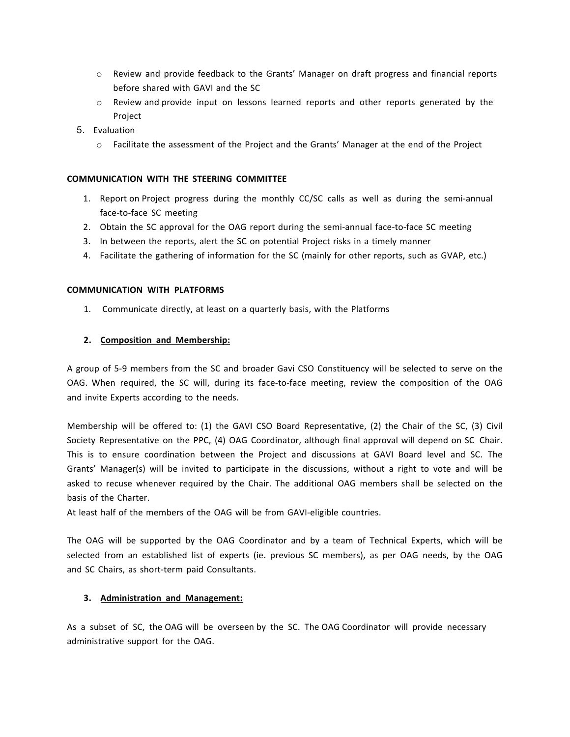- o Review and provide feedback to the Grants' Manager on draft progress and financial reports before shared with GAVI and the SC
- $\circ$  Review and provide input on lessons learned reports and other reports generated by the Project
- 5. Evaluation
	- $\circ$  Facilitate the assessment of the Project and the Grants' Manager at the end of the Project

#### **COMMUNICATION WITH THE STEERING COMMITTEE**

- 1. Report on Project progress during the monthly CC/SC calls as well as during the semi-annual face-to-face SC meeting
- 2. Obtain the SC approval for the OAG report during the semi-annual face-to-face SC meeting
- 3. In between the reports, alert the SC on potential Project risks in a timely manner
- 4. Facilitate the gathering of information for the SC (mainly for other reports, such as GVAP, etc.)

#### **COMMUNICATION WITH PLATFORMS**

1. Communicate directly, at least on a quarterly basis, with the Platforms

#### **2. Composition and Membership:**

A group of 5-9 members from the SC and broader Gavi CSO Constituency will be selected to serve on the OAG. When required, the SC will, during its face-to-face meeting, review the composition of the OAG and invite Experts according to the needs.

Membership will be offered to: (1) the GAVI CSO Board Representative, (2) the Chair of the SC, (3) Civil Society Representative on the PPC, (4) OAG Coordinator, although final approval will depend on SC Chair. This is to ensure coordination between the Project and discussions at GAVI Board level and SC. The Grants' Manager(s) will be invited to participate in the discussions, without a right to vote and will be asked to recuse whenever required by the Chair. The additional OAG members shall be selected on the basis of the Charter.

At least half of the members of the OAG will be from GAVI-eligible countries.

The OAG will be supported by the OAG Coordinator and by a team of Technical Experts, which will be selected from an established list of experts (ie. previous SC members), as per OAG needs, by the OAG and SC Chairs, as short-term paid Consultants.

#### **3. Administration and Management:**

As a subset of SC, the OAG will be overseen by the SC. The OAG Coordinator will provide necessary administrative support for the OAG.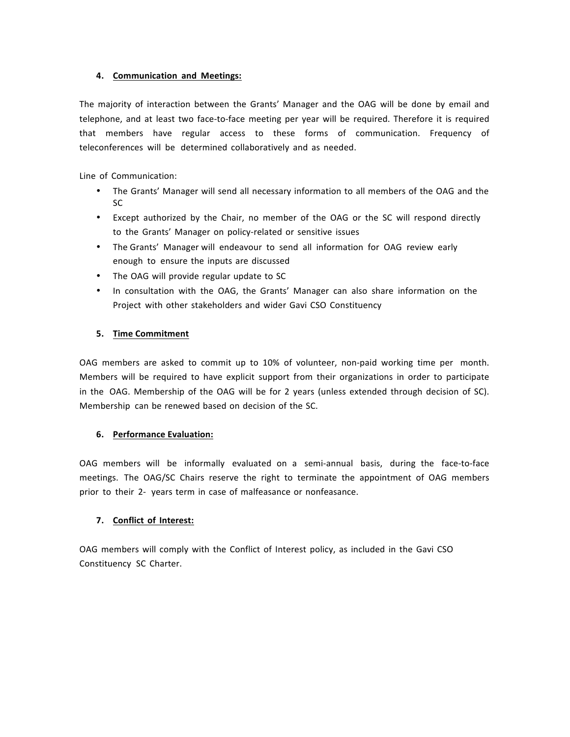#### **4. Communication and Meetings:**

The majority of interaction between the Grants' Manager and the OAG will be done by email and telephone, and at least two face-to-face meeting per year will be required. Therefore it is required that members have regular access to these forms of communication. Frequency of teleconferences will be determined collaboratively and as needed.

Line of Communication:

- The Grants' Manager will send all necessary information to all members of the OAG and the SC
- Except authorized by the Chair, no member of the OAG or the SC will respond directly to the Grants' Manager on policy-related or sensitive issues
- The Grants' Manager will endeavour to send all information for OAG review early enough to ensure the inputs are discussed
- The OAG will provide regular update to SC
- In consultation with the OAG, the Grants' Manager can also share information on the Project with other stakeholders and wider Gavi CSO Constituency

#### **5. Time Commitment**

OAG members are asked to commit up to 10% of volunteer, non-paid working time per month. Members will be required to have explicit support from their organizations in order to participate in the OAG. Membership of the OAG will be for 2 years (unless extended through decision of SC). Membership can be renewed based on decision of the SC.

#### **6. Performance Evaluation:**

OAG members will be informally evaluated on a semi-annual basis, during the face-to-face meetings. The OAG/SC Chairs reserve the right to terminate the appointment of OAG members prior to their 2- years term in case of malfeasance or nonfeasance.

#### **7. Conflict of Interest:**

OAG members will comply with the Conflict of Interest policy, as included in the Gavi CSO Constituency SC Charter.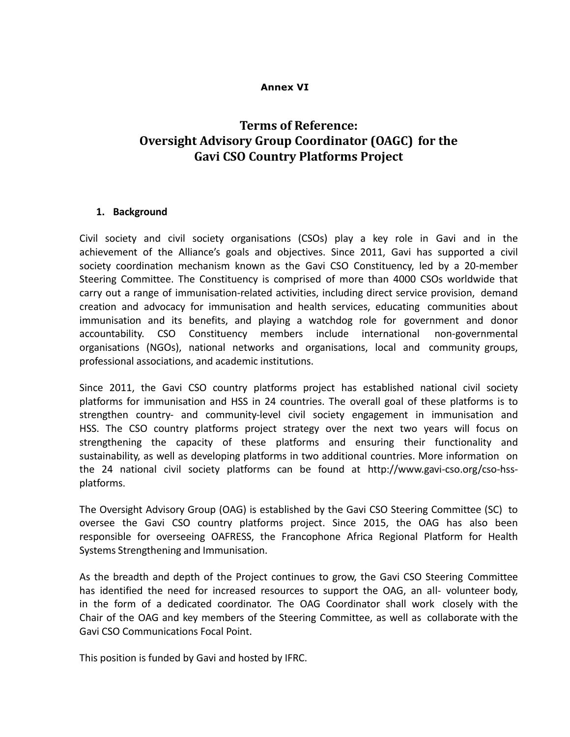## **Annex VI**

# **Terms** of Reference: **Oversight Advisory Group Coordinator (OAGC)** for the **Gavi CSO Country Platforms Project**

### **1. Background**

Civil society and civil society organisations (CSOs) play a key role in Gavi and in the achievement of the Alliance's goals and objectives. Since 2011, Gavi has supported a civil society coordination mechanism known as the Gavi CSO Constituency, led by a 20-member Steering Committee. The Constituency is comprised of more than 4000 CSOs worldwide that carry out a range of immunisation-related activities, including direct service provision, demand creation and advocacy for immunisation and health services, educating communities about immunisation and its benefits, and playing a watchdog role for government and donor accountability. CSO Constituency members include international non-governmental organisations (NGOs), national networks and organisations, local and community groups, professional associations, and academic institutions.

Since 2011, the Gavi CSO country platforms project has established national civil society platforms for immunisation and HSS in 24 countries. The overall goal of these platforms is to strengthen country- and community-level civil society engagement in immunisation and HSS. The CSO country platforms project strategy over the next two years will focus on strengthening the capacity of these platforms and ensuring their functionality and sustainability, as well as developing platforms in two additional countries. More information on the 24 national civil society platforms can be found at http://www.gavi-cso.org/cso-hssplatforms.

The Oversight Advisory Group (OAG) is established by the Gavi CSO Steering Committee (SC) to oversee the Gavi CSO country platforms project. Since 2015, the OAG has also been responsible for overseeing OAFRESS, the Francophone Africa Regional Platform for Health Systems Strengthening and Immunisation.

As the breadth and depth of the Project continues to grow, the Gavi CSO Steering Committee has identified the need for increased resources to support the OAG, an all- volunteer body, in the form of a dedicated coordinator. The OAG Coordinator shall work closely with the Chair of the OAG and key members of the Steering Committee, as well as collaborate with the Gavi CSO Communications Focal Point.

This position is funded by Gavi and hosted by IFRC.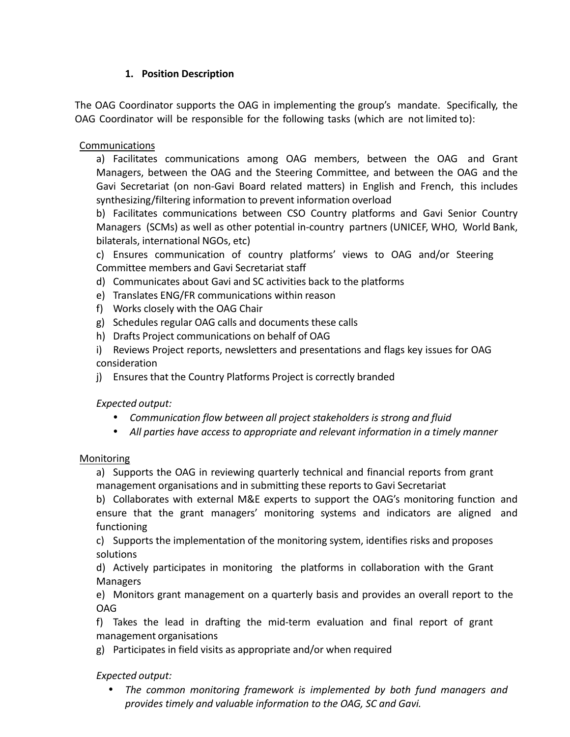## **1. Position Description**

The OAG Coordinator supports the OAG in implementing the group's mandate. Specifically, the OAG Coordinator will be responsible for the following tasks (which are not limited to):

## Communications

a) Facilitates communications among OAG members, between the OAG and Grant Managers, between the OAG and the Steering Committee, and between the OAG and the Gavi Secretariat (on non-Gavi Board related matters) in English and French, this includes synthesizing/filtering information to prevent information overload

b) Facilitates communications between CSO Country platforms and Gavi Senior Country Managers (SCMs) as well as other potential in-country partners (UNICEF, WHO, World Bank, bilaterals, international NGOs, etc)

c) Ensures communication of country platforms' views to OAG and/or Steering Committee members and Gavi Secretariat staff

- d) Communicates about Gavi and SC activities back to the platforms
- e) Translates ENG/FR communications within reason
- f) Works closely with the OAG Chair
- g) Schedules regular OAG calls and documents these calls
- h) Drafts Project communications on behalf of OAG
- i) Reviews Project reports, newsletters and presentations and flags key issues for OAG consideration
- j) Ensures that the Country Platforms Project is correctly branded

## *Expected output:*

- *Communication flow between all project stakeholders is strong and fluid*
- *All parties have access to appropriate and relevant information in a timely manner*

## Monitoring

a) Supports the OAG in reviewing quarterly technical and financial reports from grant management organisations and in submitting these reports to Gavi Secretariat

b) Collaborates with external M&E experts to support the OAG's monitoring function and ensure that the grant managers' monitoring systems and indicators are aligned and functioning

c) Supports the implementation of the monitoring system, identifies risks and proposes solutions

d) Actively participates in monitoring the platforms in collaboration with the Grant Managers

e) Monitors grant management on a quarterly basis and provides an overall report to the OAG

f) Takes the lead in drafting the mid-term evaluation and final report of grant management organisations

g) Participates in field visits as appropriate and/or when required

## *Expected output:*

• *The common monitoring framework is implemented by both fund managers and provides timely and valuable information to the OAG, SC and Gavi.*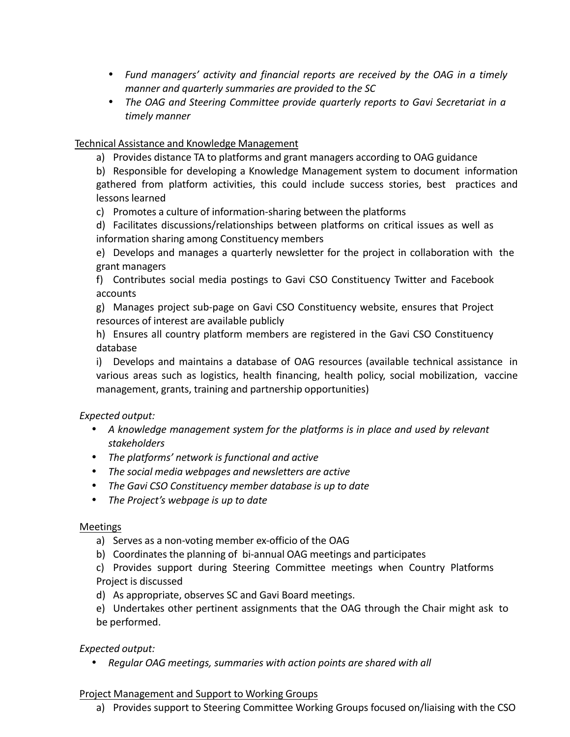- *Fund managers' activity and financial reports are received by the OAG in a timely manner and quarterly summaries are provided to the SC*
- *The OAG and Steering Committee provide quarterly reports to Gavi Secretariat in a timely manner*

## Technical Assistance and Knowledge Management

a) Provides distance TA to platforms and grant managers according to OAG guidance

b) Responsible for developing a Knowledge Management system to document information gathered from platform activities, this could include success stories, best practices and lessons learned

c) Promotes a culture of information-sharing between the platforms

d) Facilitates discussions/relationships between platforms on critical issues as well as information sharing among Constituency members

e) Develops and manages a quarterly newsletter for the project in collaboration with the grant managers

f) Contributes social media postings to Gavi CSO Constituency Twitter and Facebook accounts

g) Manages project sub-page on Gavi CSO Constituency website, ensures that Project resources of interest are available publicly

h) Ensures all country platform members are registered in the Gavi CSO Constituency database

i) Develops and maintains a database of OAG resources (available technical assistance in various areas such as logistics, health financing, health policy, social mobilization, vaccine management, grants, training and partnership opportunities)

## *Expected output:*

- *A knowledge management system for the platforms is in place and used by relevant stakeholders*
- *The platforms' network is functional and active*
- *The social media webpages and newsletters are active*
- *The Gavi CSO Constituency member database is up to date*
- *The Project's webpage is up to date*

## Meetings

- a) Serves as a non-voting member ex-officio of the OAG
- b) Coordinates the planning of bi-annual OAG meetings and participates

c) Provides support during Steering Committee meetings when Country Platforms Project is discussed

d) As appropriate, observes SC and Gavi Board meetings.

e) Undertakes other pertinent assignments that the OAG through the Chair might ask to be performed.

## *Expected output:*

• *Regular OAG meetings, summaries with action points are shared with all*

## Project Management and Support to Working Groups

a) Provides support to Steering Committee Working Groups focused on/liaising with the CSO